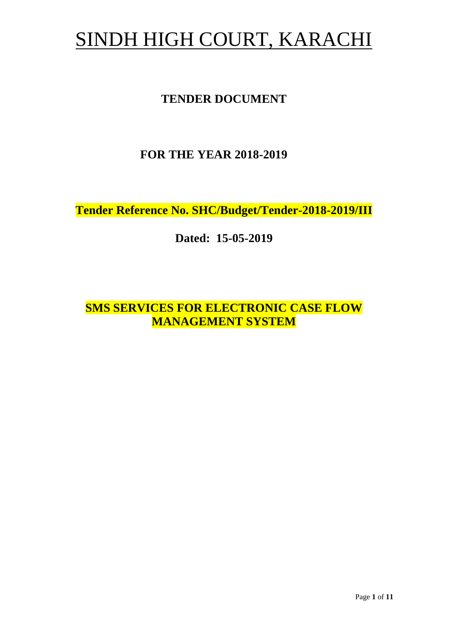# SINDH HIGH COURT, KARACHI

## **TENDER DOCUMENT**

## **FOR THE YEAR 2018-2019**

**Tender Reference No. SHC/Budget/Tender-2018-2019/III**

**Dated: 15-05-2019**

**SMS SERVICES FOR ELECTRONIC CASE FLOW MANAGEMENT SYSTEM**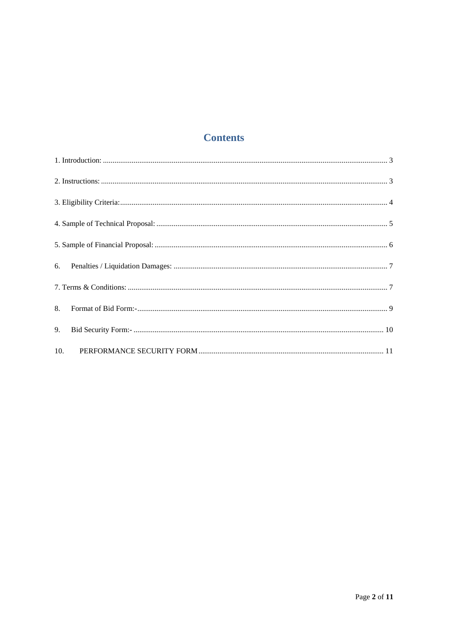## **Contents**

| 9. |  |
|----|--|
|    |  |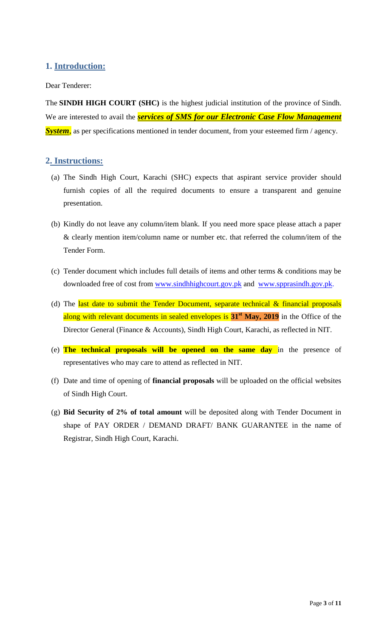### <span id="page-2-1"></span><span id="page-2-0"></span>**1. Introduction:**

#### Dear Tenderer:

The **SINDH HIGH COURT (SHC)** is the highest judicial institution of the province of [Sindh.](https://en.wikipedia.org/wiki/Sindh) We are interested to avail the *services of SMS for our Electronic Case Flow Management System*, as per specifications mentioned in tender document, from your esteemed firm / agency.

#### **2. Instructions:**

- (a) The Sindh High Court, Karachi (SHC) expects that aspirant service provider should furnish copies of all the required documents to ensure a transparent and genuine presentation.
- (b) Kindly do not leave any column/item blank. If you need more space please attach a paper & clearly mention item/column name or number etc. that referred the column/item of the Tender Form.
- (c) Tender document which includes full details of items and other terms & conditions may be downloaded free of cost from [www.sindhhighcourt.gov.pk](http://www.sindhhighcourt.gov.pk/) and [www.spprasindh.gov.pk.](http://www.spprasindh.gov.pk/)
- (d) The last date to submit the Tender Document, separate technical  $\&$  financial proposals along with relevant documents in sealed envelopes is **31st May, 2019** in the Office of the Director General (Finance & Accounts), Sindh High Court, Karachi, as reflected in NIT.
- (e) **The technical proposals will be opened on the same day** in the presence of representatives who may care to attend as reflected in NIT.
- (f) Date and time of opening of **financial proposals** will be uploaded on the official websites of Sindh High Court.
- (g) **Bid Security of 2% of total amount** will be deposited along with Tender Document in shape of PAY ORDER / DEMAND DRAFT/ BANK GUARANTEE in the name of Registrar, Sindh High Court, Karachi.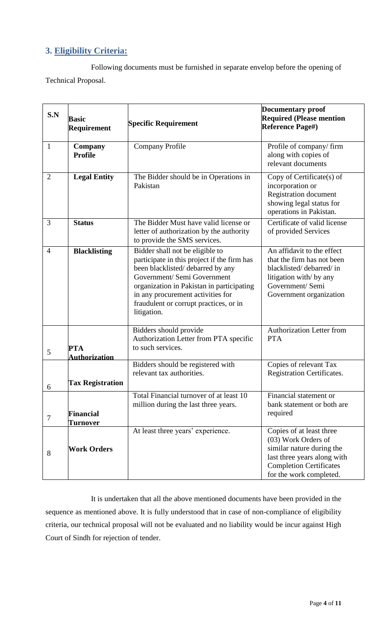## <span id="page-3-0"></span>**3. Eligibility Criteria:**

Following documents must be furnished in separate envelop before the opening of Technical Proposal.

| S.N                          | <b>Basic</b><br><b>Requirement</b> | <b>Specific Requirement</b>                                                                                                                                                                                                                                                                  | <b>Documentary proof</b><br><b>Required (Please mention</b><br><b>Reference Page#)</b>                                                                                   |
|------------------------------|------------------------------------|----------------------------------------------------------------------------------------------------------------------------------------------------------------------------------------------------------------------------------------------------------------------------------------------|--------------------------------------------------------------------------------------------------------------------------------------------------------------------------|
| 1                            | <b>Company</b><br><b>Profile</b>   | <b>Company Profile</b>                                                                                                                                                                                                                                                                       | Profile of company/firm<br>along with copies of<br>relevant documents                                                                                                    |
| $\overline{2}$               | <b>Legal Entity</b>                | The Bidder should be in Operations in<br>Pakistan                                                                                                                                                                                                                                            | Copy of Certificate(s) of<br>incorporation or<br>Registration document<br>showing legal status for<br>operations in Pakistan.                                            |
| 3                            | <b>Status</b>                      | The Bidder Must have valid license or<br>letter of authorization by the authority<br>to provide the SMS services.                                                                                                                                                                            | Certificate of valid license<br>of provided Services                                                                                                                     |
| $\overline{4}$               | <b>Blacklisting</b>                | Bidder shall not be eligible to<br>participate in this project if the firm has<br>been blacklisted/debarred by any<br>Government/ Semi Government<br>organization in Pakistan in participating<br>in any procurement activities for<br>fraudulent or corrupt practices, or in<br>litigation. | An affidavit to the effect<br>that the firm has not been<br>blacklisted/debarred/in<br>litigation with/ by any<br>Government/ Semi<br>Government organization            |
| 5                            | PTA<br><b>Authorization</b>        | Bidders should provide<br>Authorization Letter from PTA specific<br>to such services.                                                                                                                                                                                                        | <b>Authorization Letter from</b><br><b>PTA</b>                                                                                                                           |
| <b>Tax Registration</b><br>6 |                                    | Bidders should be registered with<br>relevant tax authorities.                                                                                                                                                                                                                               | Copies of relevant Tax<br><b>Registration Certificates.</b>                                                                                                              |
| 7                            | <b>Financial</b><br>Turnover       | Total Financial turnover of at least 10<br>million during the last three years.                                                                                                                                                                                                              | Financial statement or<br>bank statement or both are<br>required                                                                                                         |
| 8                            | <b>Work Orders</b>                 | At least three years' experience.                                                                                                                                                                                                                                                            | Copies of at least three<br>(03) Work Orders of<br>similar nature during the<br>last three years along with<br><b>Completion Certificates</b><br>for the work completed. |

It is undertaken that all the above mentioned documents have been provided in the sequence as mentioned above. It is fully understood that in case of non-compliance of eligibility criteria, our technical proposal will not be evaluated and no liability would be incur against High Court of Sindh for rejection of tender.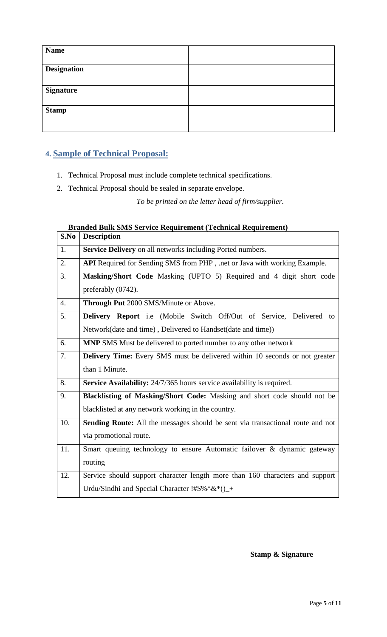<span id="page-4-0"></span>

| <b>Name</b>        |  |
|--------------------|--|
| <b>Designation</b> |  |
| <b>Signature</b>   |  |
| <b>Stamp</b>       |  |

## **4. Sample of Technical Proposal:**

- 1. Technical Proposal must include complete technical specifications.
- 2. Technical Proposal should be sealed in separate envelope.

*To be printed on the letter head of firm/supplier.*

## **Branded Bulk SMS Service Requirement (Technical Requirement)**

| S.No             | <b>Description</b>                                                                 |
|------------------|------------------------------------------------------------------------------------|
| 1.               | Service Delivery on all networks including Ported numbers.                         |
| 2.               | API Required for Sending SMS from PHP, .net or Java with working Example.          |
| 3.               | Masking/Short Code Masking (UPTO 5) Required and 4 digit short code                |
|                  | preferably (0742).                                                                 |
| $\overline{4}$ . | Through Put 2000 SMS/Minute or Above.                                              |
| 5.               | Delivery Report i.e (Mobile Switch Off/Out of Service, Delivered to                |
|                  | Network(date and time), Delivered to Handset(date and time))                       |
| 6.               | MNP SMS Must be delivered to ported number to any other network                    |
| 7.               | <b>Delivery Time:</b> Every SMS must be delivered within 10 seconds or not greater |
|                  | than 1 Minute.                                                                     |
| 8.               | Service Availability: 24/7/365 hours service availability is required.             |
| 9.               | Blacklisting of Masking/Short Code: Masking and short code should not be           |
|                  | blacklisted at any network working in the country.                                 |
| 10.              | Sending Route: All the messages should be sent via transactional route and not     |
|                  | via promotional route.                                                             |
| 11.              | Smart queuing technology to ensure Automatic failover & dynamic gateway            |
|                  | routing                                                                            |
| 12.              | Service should support character length more than 160 characters and support       |
|                  | Urdu/Sindhi and Special Character !#\$%^&*()_+                                     |

**Stamp & Signature**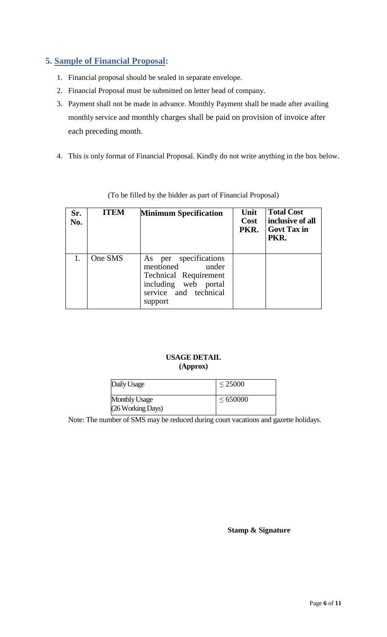# <span id="page-5-0"></span>**5. Sample of Financial Proposal:**

- 1. Financial proposal should be sealed in separate envelope.
- 2. Financial Proposal must be submitted on letter head of company.
- 3. Payment shall not be made in advance. Monthly Payment shall be made after availing monthly service and monthly charges shall be paid on provision of invoice after each preceding month.
- 4. This is only format of Financial Proposal. Kindly do not write anything in the box below.

| Sr.<br>No. | <b>ITEM</b> | <b>Minimum Specification</b>                                                                                                            | Unit<br>Cost<br>PKR. | <b>Total Cost</b><br>inclusive of all<br>  Govt Tax in<br>PKR. |
|------------|-------------|-----------------------------------------------------------------------------------------------------------------------------------------|----------------------|----------------------------------------------------------------|
|            | One SMS     | per specifications<br>As<br>mentioned under<br><b>Technical Requirement</b><br>including web portal<br>service and technical<br>support |                      |                                                                |

(To be filled by the bidder as part of Financial Proposal)

#### **USAGE DETAIL (Approx)**

| Daily Usage          | $\leq 25000$  |
|----------------------|---------------|
| <b>Monthly Usage</b> | $\leq 650000$ |
| (26 Working Days)    |               |

Note: The number of SMS may be reduced during court vacations and gazette holidays.

**Stamp & Signature**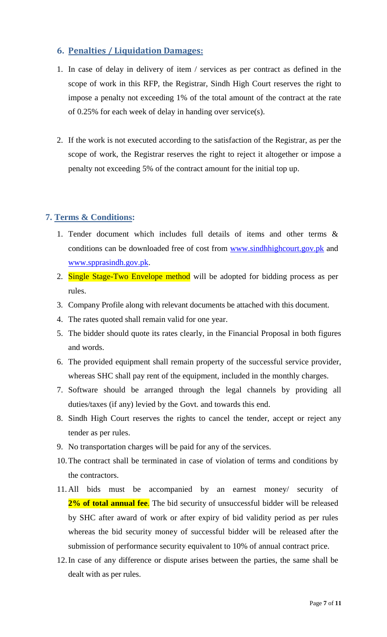#### <span id="page-6-0"></span>**6. Penalties / Liquidation Damages:**

- 1. In case of delay in delivery of item / services as per contract as defined in the scope of work in this RFP, the Registrar, Sindh High Court reserves the right to impose a penalty not exceeding 1% of the total amount of the contract at the rate of 0.25% for each week of delay in handing over service(s).
- <span id="page-6-1"></span>2. If the work is not executed according to the satisfaction of the Registrar, as per the scope of work, the Registrar reserves the right to reject it altogether or impose a penalty not exceeding 5% of the contract amount for the initial top up.

## **7. Terms & Conditions:**

- 1. Tender document which includes full details of items and other terms & conditions can be downloaded free of cost from [www.sindhhighcourt.gov.pk](http://www.sindhhighcourt.gov.pk/) and [www.spprasindh.gov.pk.](http://www.spprasindh.gov.pk/)
- 2. Single Stage-Two Envelope method will be adopted for bidding process as per rules.
- 3. Company Profile along with relevant documents be attached with this document.
- 4. The rates quoted shall remain valid for one year.
- 5. The bidder should quote its rates clearly, in the Financial Proposal in both figures and words.
- 6. The provided equipment shall remain property of the successful service provider, whereas SHC shall pay rent of the equipment, included in the monthly charges.
- 7. Software should be arranged through the legal channels by providing all duties/taxes (if any) levied by the Govt. and towards this end.
- 8. Sindh High Court reserves the rights to cancel the tender, accept or reject any tender as per rules.
- 9. No transportation charges will be paid for any of the services.
- 10.The contract shall be terminated in case of violation of terms and conditions by the contractors.
- 11. All bids must be accompanied by an earnest money/ security of **2% of total annual fee**. The bid security of unsuccessful bidder will be released by SHC after award of work or after expiry of bid validity period as per rules whereas the bid security money of successful bidder will be released after the submission of performance security equivalent to 10% of annual contract price.
- 12.In case of any difference or dispute arises between the parties, the same shall be dealt with as per rules.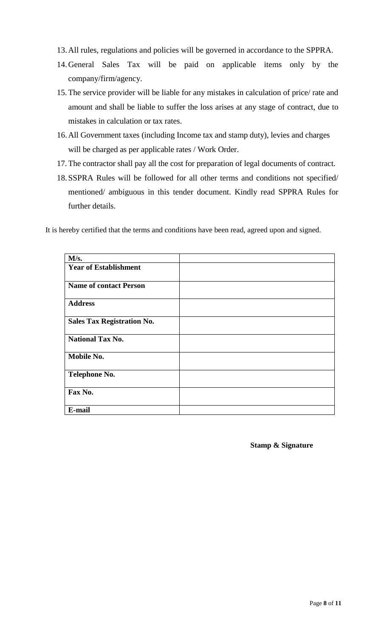- 13.All rules, regulations and policies will be governed in accordance to the SPPRA.
- 14.General Sales Tax will be paid on applicable items only by the company/firm/agency.
- 15. The service provider will be liable for any mistakes in calculation of price/ rate and amount and shall be liable to suffer the loss arises at any stage of contract, due to mistakes in calculation or tax rates.
- 16.All Government taxes (including Income tax and stamp duty), levies and charges will be charged as per applicable rates / Work Order.
- 17. The contractor shall pay all the cost for preparation of legal documents of contract.
- 18.SSPRA Rules will be followed for all other terms and conditions not specified/ mentioned/ ambiguous in this tender document. Kindly read SPPRA Rules for further details.

It is hereby certified that the terms and conditions have been read, agreed upon and signed.

| M/s.                              |  |
|-----------------------------------|--|
| <b>Year of Establishment</b>      |  |
| <b>Name of contact Person</b>     |  |
| <b>Address</b>                    |  |
| <b>Sales Tax Registration No.</b> |  |
| <b>National Tax No.</b>           |  |
| Mobile No.                        |  |
| Telephone No.                     |  |
| Fax No.                           |  |
| E-mail                            |  |

**Stamp & Signature**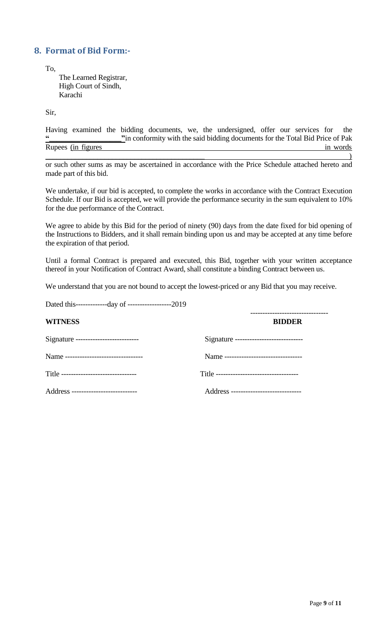#### <span id="page-8-0"></span>**8. Format of Bid Form:-**

To,

The Learned Registrar, High Court of Sindh, Karachi

Sir,

Having examined the bidding documents, we, the undersigned, offer our services for the **"\_\_\_\_\_\_\_\_\_\_\_\_\_\_\_\_\_\_\_"**in conformity with the said bidding documents for the Total Bid Price of Pak Rupees (in figures in words in words)  $\overline{\phantom{a}}$  ) and the contract of the contract of the contract of the contract of the contract of the contract of the contract of the contract of the contract of the contract of the contract of the contract of the contrac

or such other sums as may be ascertained in accordance with the Price Schedule attached hereto and made part of this bid.

We undertake, if our bid is accepted, to complete the works in accordance with the Contract Execution Schedule. If our Bid is accepted, we will provide the performance security in the sum equivalent to 10% for the due performance of the Contract.

We agree to abide by this Bid for the period of ninety (90) days from the date fixed for bid opening of the Instructions to Bidders, and it shall remain binding upon us and may be accepted at any time before the expiration of that period.

Until a formal Contract is prepared and executed, this Bid, together with your written acceptance thereof in your Notification of Contract Award, shall constitute a binding Contract between us.

We understand that you are not bound to accept the lowest-priced or any Bid that you may receive.

| Dated this--------------day of -----------------------2019 |                                           |
|------------------------------------------------------------|-------------------------------------------|
| <b>WITNESS</b>                                             | <b>BIDDER</b>                             |
| Signature ---------------------------                      | Signature -----------------------------   |
| Name --------------------------------                      | Name ---------------------------------    |
| Title --------------------------------                     | Title ----------------------------------- |
| Address ---------------------------                        | Address -----------------------------     |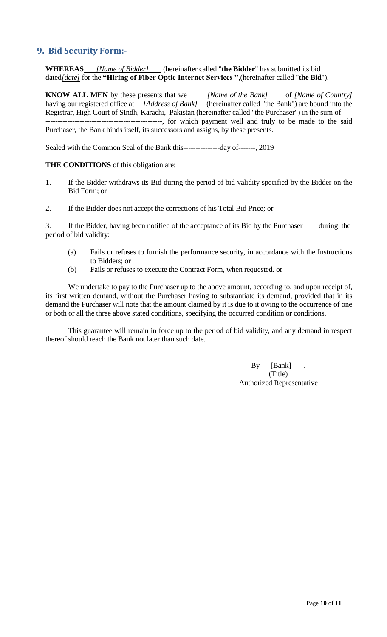#### <span id="page-9-0"></span>**9. Bid Security Form:-**

**WHEREAS** *[Name of Bidder]* (hereinafter called "**the Bidder**" has submitted its bid dated*[date]* for the **"Hiring of Fiber Optic Internet Services "**,(hereinafter called "**the Bid**").

**KNOW ALL MEN** by these presents that we *[Name of the Bank]* of *[Name of Country]* having our registered office at *[Address of Bank]* (hereinafter called "the Bank") are bound into the Registrar, High Court of SIndh, Karachi, Pakistan (hereinafter called "the Purchaser") in the sum of ---- -----------, for which payment well and truly to be made to the said Purchaser, the Bank binds itself, its successors and assigns, by these presents.

Sealed with the Common Seal of the Bank this---------------day of-------, 2019

#### **THE CONDITIONS** of this obligation are:

- 1. If the Bidder withdraws its Bid during the period of bid validity specified by the Bidder on the Bid Form; or
- 2. If the Bidder does not accept the corrections of his Total Bid Price; or

3. If the Bidder, having been notified of the acceptance of its Bid by the Purchaser during the period of bid validity:

- (a) Fails or refuses to furnish the performance security, in accordance with the Instructions to Bidders; or
- (b) Fails or refuses to execute the Contract Form, when requested. or

We undertake to pay to the Purchaser up to the above amount, according to, and upon receipt of, its first written demand, without the Purchaser having to substantiate its demand, provided that in its demand the Purchaser will note that the amount claimed by it is due to it owing to the occurrence of one or both or all the three above stated conditions, specifying the occurred condition or conditions.

This guarantee will remain in force up to the period of bid validity, and any demand in respect thereof should reach the Bank not later than such date.

> By [Bank] (Title) Authorized Representative